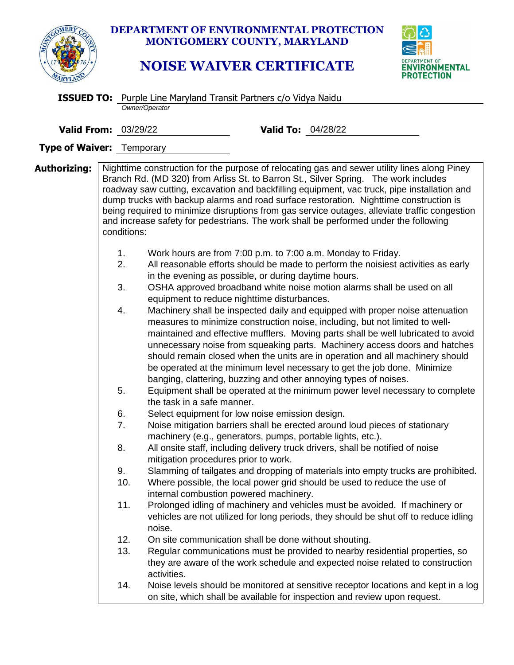

**DEPARTMENT OF ENVIRONMENTAL PROTECTION MONTGOMERY COUNTY, MARYLAND**

## **NOISE WAIVER CERTIFICATE**



|                                  |    | <b>ISSUED TO:</b> Purple Line Maryland Transit Partners c/o Vidya Naidu                   |                                                                                                                                                                                                                       |                                                                                                                                                                                                                                                                                                                                                                                                                                                                                                                                                                                                                                                                                                                                                                                                                                                                                                                                                                                                                                                                                                                                                                                                                                                                                                                                                                                                                                                                                                                                                                                                                            |  |  |
|----------------------------------|----|-------------------------------------------------------------------------------------------|-----------------------------------------------------------------------------------------------------------------------------------------------------------------------------------------------------------------------|----------------------------------------------------------------------------------------------------------------------------------------------------------------------------------------------------------------------------------------------------------------------------------------------------------------------------------------------------------------------------------------------------------------------------------------------------------------------------------------------------------------------------------------------------------------------------------------------------------------------------------------------------------------------------------------------------------------------------------------------------------------------------------------------------------------------------------------------------------------------------------------------------------------------------------------------------------------------------------------------------------------------------------------------------------------------------------------------------------------------------------------------------------------------------------------------------------------------------------------------------------------------------------------------------------------------------------------------------------------------------------------------------------------------------------------------------------------------------------------------------------------------------------------------------------------------------------------------------------------------------|--|--|
|                                  |    | Owner/Operator                                                                            |                                                                                                                                                                                                                       |                                                                                                                                                                                                                                                                                                                                                                                                                                                                                                                                                                                                                                                                                                                                                                                                                                                                                                                                                                                                                                                                                                                                                                                                                                                                                                                                                                                                                                                                                                                                                                                                                            |  |  |
| <b>Valid From: 03/29/22</b>      |    |                                                                                           | <b>Valid To: 04/28/22</b>                                                                                                                                                                                             |                                                                                                                                                                                                                                                                                                                                                                                                                                                                                                                                                                                                                                                                                                                                                                                                                                                                                                                                                                                                                                                                                                                                                                                                                                                                                                                                                                                                                                                                                                                                                                                                                            |  |  |
| <b>Type of Waiver: Temporary</b> |    |                                                                                           |                                                                                                                                                                                                                       |                                                                                                                                                                                                                                                                                                                                                                                                                                                                                                                                                                                                                                                                                                                                                                                                                                                                                                                                                                                                                                                                                                                                                                                                                                                                                                                                                                                                                                                                                                                                                                                                                            |  |  |
| Authorizing:                     |    | conditions:<br>1.<br>2.<br>3.<br>4.<br>5.<br>the task in a safe manner.<br>6.<br>7.<br>8. | in the evening as possible, or during daytime hours.<br>equipment to reduce nighttime disturbances.<br>Select equipment for low noise emission design.<br>machinery (e.g., generators, pumps, portable lights, etc.). | Nighttime construction for the purpose of relocating gas and sewer utility lines along Piney<br>Branch Rd. (MD 320) from Arliss St. to Barron St., Silver Spring. The work includes<br>roadway saw cutting, excavation and backfilling equipment, vac truck, pipe installation and<br>dump trucks with backup alarms and road surface restoration. Nighttime construction is<br>being required to minimize disruptions from gas service outages, alleviate traffic congestion<br>and increase safety for pedestrians. The work shall be performed under the following<br>Work hours are from 7:00 p.m. to 7:00 a.m. Monday to Friday.<br>All reasonable efforts should be made to perform the noisiest activities as early<br>OSHA approved broadband white noise motion alarms shall be used on all<br>Machinery shall be inspected daily and equipped with proper noise attenuation<br>measures to minimize construction noise, including, but not limited to well-<br>maintained and effective mufflers. Moving parts shall be well lubricated to avoid<br>unnecessary noise from squeaking parts. Machinery access doors and hatches<br>should remain closed when the units are in operation and all machinery should<br>be operated at the minimum level necessary to get the job done. Minimize<br>banging, clattering, buzzing and other annoying types of noises.<br>Equipment shall be operated at the minimum power level necessary to complete<br>Noise mitigation barriers shall be erected around loud pieces of stationary<br>All onsite staff, including delivery truck drivers, shall be notified of noise |  |  |
|                                  | 9. | mitigation procedures prior to work.<br>10.<br>11.<br>noise.<br>12.                       | internal combustion powered machinery.<br>On site communication shall be done without shouting.                                                                                                                       | Slamming of tailgates and dropping of materials into empty trucks are prohibited.<br>Where possible, the local power grid should be used to reduce the use of<br>Prolonged idling of machinery and vehicles must be avoided. If machinery or<br>vehicles are not utilized for long periods, they should be shut off to reduce idling                                                                                                                                                                                                                                                                                                                                                                                                                                                                                                                                                                                                                                                                                                                                                                                                                                                                                                                                                                                                                                                                                                                                                                                                                                                                                       |  |  |
|                                  |    | 13.<br>activities.                                                                        |                                                                                                                                                                                                                       | Regular communications must be provided to nearby residential properties, so<br>they are aware of the work schedule and expected noise related to construction                                                                                                                                                                                                                                                                                                                                                                                                                                                                                                                                                                                                                                                                                                                                                                                                                                                                                                                                                                                                                                                                                                                                                                                                                                                                                                                                                                                                                                                             |  |  |
|                                  |    | 14.                                                                                       |                                                                                                                                                                                                                       | Noise levels should be monitored at sensitive receptor locations and kept in a log<br>on site, which shall be available for inspection and review upon request.                                                                                                                                                                                                                                                                                                                                                                                                                                                                                                                                                                                                                                                                                                                                                                                                                                                                                                                                                                                                                                                                                                                                                                                                                                                                                                                                                                                                                                                            |  |  |